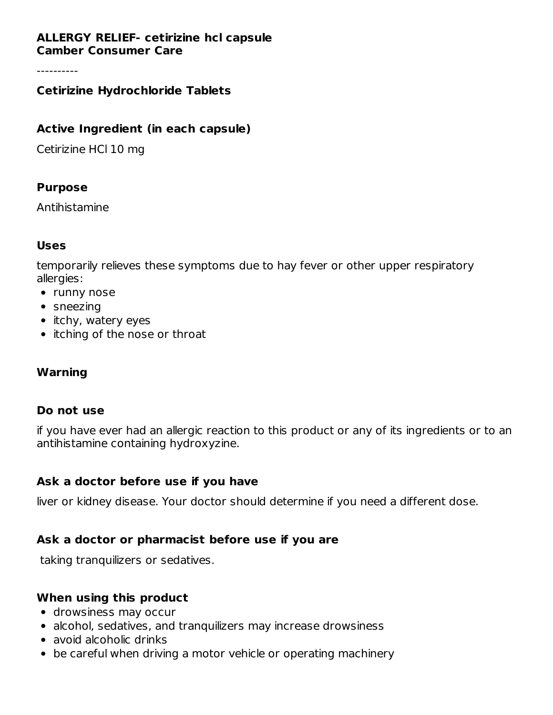#### **ALLERGY RELIEF- cetirizine hcl capsule Camber Consumer Care**

----------

#### **Cetirizine Hydrochloride Tablets**

#### **Active Ingredient (in each capsule)**

Cetirizine HCl 10 mg

#### **Purpose**

Antihistamine

#### **Uses**

temporarily relieves these symptoms due to hay fever or other upper respiratory allergies:

- runny nose
- sneezing
- itchy, watery eyes
- itching of the nose or throat

## **Warning**

#### **Do not use**

if you have ever had an allergic reaction to this product or any of its ingredients or to an antihistamine containing hydroxyzine.

#### **Ask a doctor before use if you have**

liver or kidney disease. Your doctor should determine if you need a different dose.

## **Ask a doctor or pharmacist before use if you are**

taking tranquilizers or sedatives.

#### **When using this product**

- drowsiness may occur
- alcohol, sedatives, and tranquilizers may increase drowsiness
- avoid alcoholic drinks
- be careful when driving a motor vehicle or operating machinery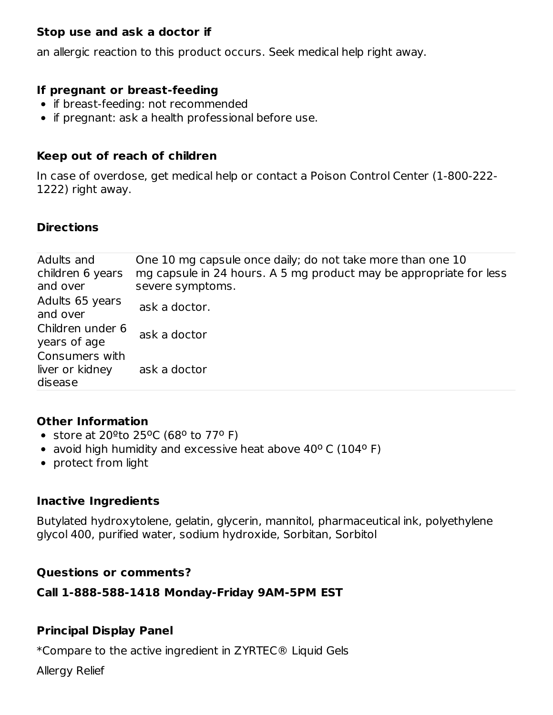## **Stop use and ask a doctor if**

an allergic reaction to this product occurs. Seek medical help right away.

#### **If pregnant or breast-feeding**

- if breast-feeding: not recommended
- if pregnant: ask a health professional before use.

#### **Keep out of reach of children**

In case of overdose, get medical help or contact a Poison Control Center (1-800-222- 1222) right away.

## **Directions**

| Adults and<br>children 6 years<br>and over   | One 10 mg capsule once daily; do not take more than one 10<br>mg capsule in 24 hours. A 5 mg product may be appropriate for less<br>severe symptoms. |
|----------------------------------------------|------------------------------------------------------------------------------------------------------------------------------------------------------|
| Adults 65 years<br>and over                  | ask a doctor.                                                                                                                                        |
| Children under 6<br>years of age             | ask a doctor                                                                                                                                         |
| Consumers with<br>liver or kidney<br>disease | ask a doctor                                                                                                                                         |

## **Other Information**

- store at 20<sup>o</sup>to 25<sup>o</sup>C (68<sup>o</sup> to 77<sup>o</sup> F)
- avoid high humidity and excessive heat above  $40^{\circ}$  C (104 $^{\circ}$  F)
- protect from light

## **Inactive Ingredients**

Butylated hydroxytolene, gelatin, glycerin, mannitol, pharmaceutical ink, polyethylene glycol 400, purified water, sodium hydroxide, Sorbitan, Sorbitol

## **Questions or comments?**

## **Call 1-888-588-1418 Monday-Friday 9AM-5PM EST**

## **Principal Display Panel**

\*Compare to the active ingredient in ZYRTEC® Liquid Gels

Allergy Relief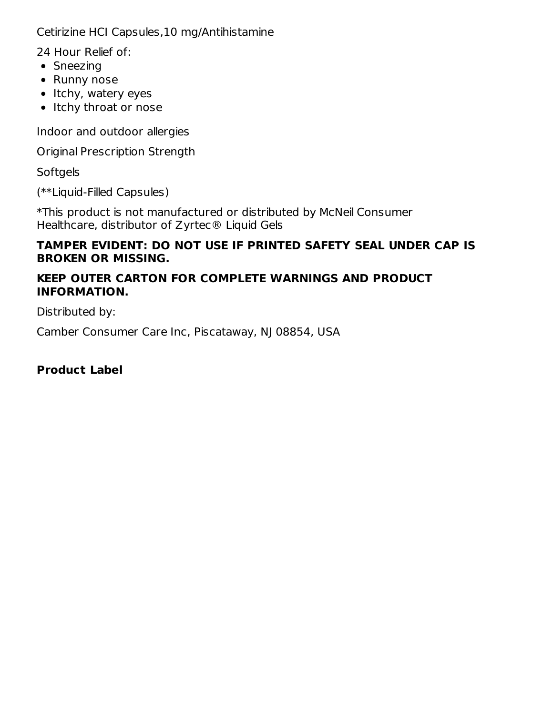Cetirizine HCI Capsules,10 mg/Antihistamine

24 Hour Relief of:

- Sneezing
- Runny nose
- $\bullet$  Itchy, watery eyes
- Itchy throat or nose

Indoor and outdoor allergies

Original Prescription Strength

**Softgels** 

(\*\*Liquid-Filled Capsules)

\*This product is not manufactured or distributed by McNeil Consumer Healthcare, distributor of Zyrtec® Liquid Gels

## **TAMPER EVIDENT: DO NOT USE IF PRINTED SAFETY SEAL UNDER CAP IS BROKEN OR MISSING.**

## **KEEP OUTER CARTON FOR COMPLETE WARNINGS AND PRODUCT INFORMATION.**

Distributed by:

Camber Consumer Care Inc, Piscataway, NJ 08854, USA

**Product Label**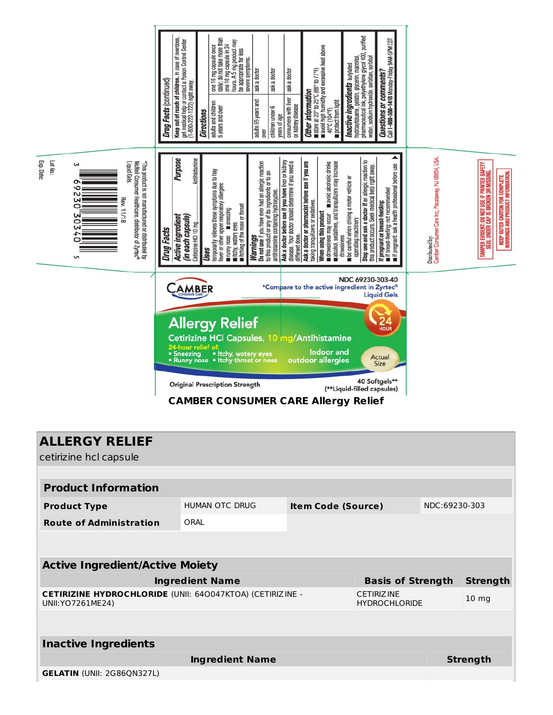

| <b>ALLERGY RELIEF</b><br>cetirizine hcl capsule                                          |                       |                           |                                           |               |                  |  |
|------------------------------------------------------------------------------------------|-----------------------|---------------------------|-------------------------------------------|---------------|------------------|--|
|                                                                                          |                       |                           |                                           |               |                  |  |
| <b>Product Information</b>                                                               |                       |                           |                                           |               |                  |  |
| <b>Product Type</b>                                                                      | <b>HUMAN OTC DRUG</b> | <b>Item Code (Source)</b> |                                           | NDC:69230-303 |                  |  |
| <b>Route of Administration</b>                                                           | ORAI                  |                           |                                           |               |                  |  |
|                                                                                          |                       |                           |                                           |               |                  |  |
| <b>Active Ingredient/Active Moiety</b>                                                   |                       |                           |                                           |               |                  |  |
| <b>Ingredient Name</b>                                                                   |                       |                           | <b>Basis of Strength</b>                  |               | <b>Strength</b>  |  |
| <b>CETIRIZINE HYDROCHLORIDE (UNII: 640047KTOA) (CETIRIZINE -</b><br>UNII: YO 7261 ME 24) |                       |                           | <b>CETIRIZINE</b><br><b>HYDROCHLORIDE</b> |               | 10 <sub>mg</sub> |  |
|                                                                                          |                       |                           |                                           |               |                  |  |
| <b>Inactive Ingredients</b>                                                              |                       |                           |                                           |               |                  |  |
| <b>Ingredient Name</b>                                                                   |                       |                           |                                           |               | <b>Strength</b>  |  |
| <b>GELATIN (UNII: 2G86QN327L)</b>                                                        |                       |                           |                                           |               |                  |  |
|                                                                                          |                       |                           |                                           |               |                  |  |